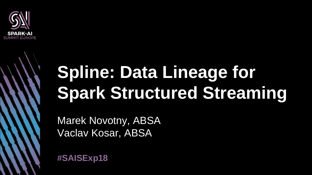

# **Spline: Data Lineage for Spark Structured Streaming**

Marek Novotny, ABSA Vaclav Kosar, ABSA

**#SAISExp18**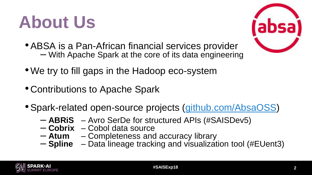# **About Us**

- •ABSA is a Pan-African financial services provider – With Apache Spark at the core of its data engineering
- We try to fill gaps in the Hadoop eco-system
- Contributions to Apache Spark
- •Spark-related open-source projects ([github.com/AbsaOSS](https://github.com/AbsaOSS))
	- **ABRiS** Avro SerDe for structured APIs (#SAISDev5)
	- **Cobrix** Cobol data source
	- **Atum** Completeness and accuracy library
	- **Spline** Data lineage tracking and visualization tool (#EUent3)

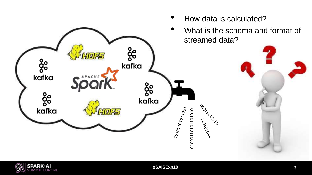

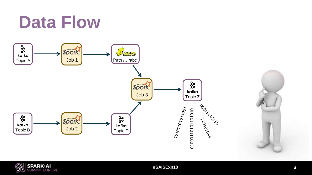#### **Data Flow**



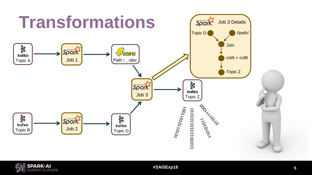

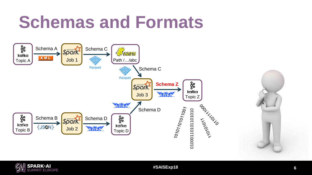#### **Schemas and Formats**



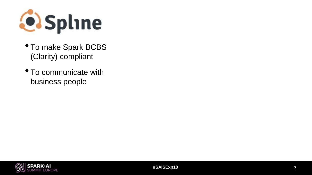

- To make Spark BCBS (Clarity) compliant
- To communicate with business people

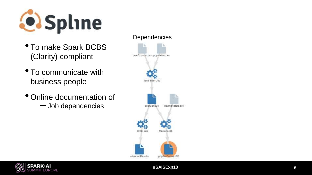

- To make Spark BCBS (Clarity) compliant
- To communicate with business people
- Online documentation of
	- –Job dependencies



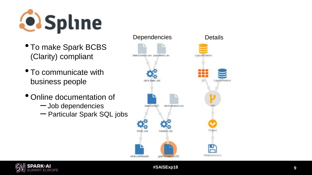

- To make Spark BCBS (Clarity) compliant
- To communicate with business people
- Online documentation of
	- –Job dependencies
	- Particular Spark SQL jobs



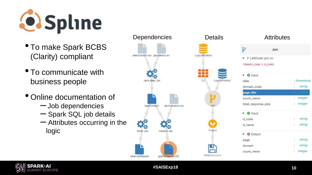

- To make Spark BCBS (Clarity) compliant
- To communicate with business people
- Online documentation of
	- –Job dependencies
	- Spark SQL job details
	- $-$  Attributes occurring in the logic





| p                                         | Join |               |            |
|-------------------------------------------|------|---------------|------------|
| $\blacktriangleright$ P LeftOuter join on |      |               |            |
| $(domain code = d code)$                  |      |               |            |
| $\bullet$ O Input                         |      |               |            |
| date                                      |      |               | : timestam |
| domain_code                               |      | $\frac{1}{2}$ | string     |
| page_title                                |      | ÷             |            |
| count views                               |      |               | : integer  |
| total_response_size                       |      |               | : integer  |
| $\bullet$ O Input                         |      |               |            |
| d_code                                    |      |               | : string   |
| d name                                    |      |               | : string   |
| $\bullet$ $\bullet$ Output                |      |               |            |
| page                                      |      |               | : string   |
| domain                                    |      |               | : string   |
| count_views                               |      |               | : integer  |



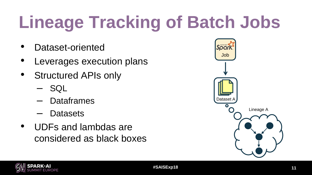# **Lineage Tracking of Batch Jobs**

- Dataset-oriented
- Leverages execution plans
- Structured APIs only
	- SQL
	- Dataframes
	- Datasets
- UDFs and lambdas are considered as black boxes



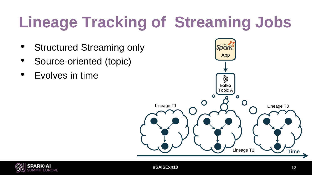### **Lineage Tracking of Streaming Jobs**

- **Structured Streaming only**
- Source-oriented (topic)
- Evolves in time



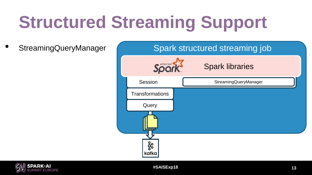• StreamingQueryManager



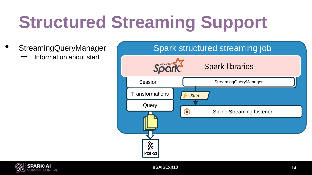- - Information about start



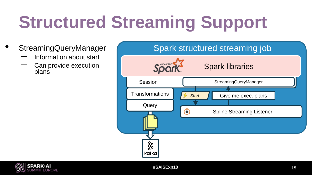- StreamingQueryManager
	- Information about start
	- Can provide execution plans



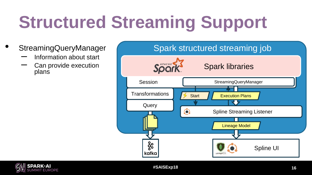- StreamingQueryManager
	- Information about start
	- Can provide execution plans



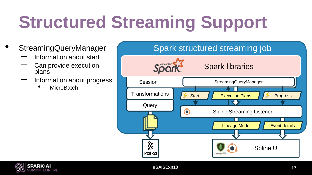- StreamingQueryManager
	- Information about start
	- Can provide execution plans
	- Information about progress
		- **MicroBatch**



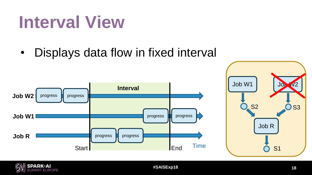#### • Displays data flow in fixed interval

**Interval View**





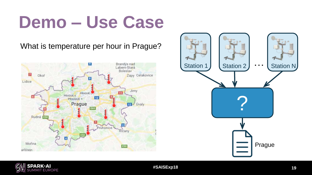### **Demo – Use Case**

#### What is temperature per hour in Prague?





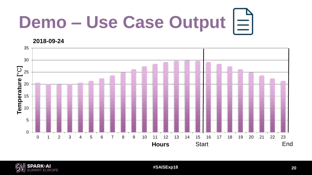# **Demo – Use Case Output**

**2018-09-24**



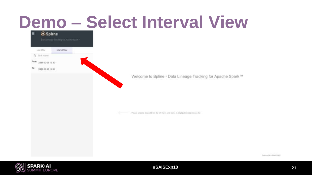# **Demo – Select Interval View**





**#SAISExp18 21**

Symmetric A.S. SMARTANETY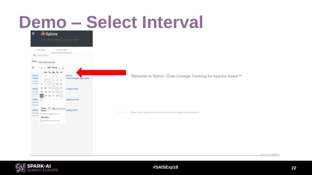#### **Demo – Select Interval**

| Strict University for Apachic Space -<br>List Wite<br><b>Itierral Vany</b><br>Q. Sink Nation<br>From:<br>2018-09-24 00:00<br>SEP 2018 > W<br>Ter<br>Tu We Th Fr<br>TILL PAGE<br>film /Vi<br>rematin<br>84 14 17 19 19 10<br>veture propin appropriat<br>/ street<br>117777777775<br><b>Approved</b><br>$7 - 10.11$<br>94.14<br>ö.<br>12 13 14 17 17<br><b>Kefkel</b><br>pregnackbety.<br>10 19 20 21<br><b>Terminal</b><br>Mo. 14 b.<br>25 26 27 28<br><b>Karka:</b><br>pregue, kalton<br>.<br><b>Selection</b><br>dia risk<br>Time 10: Corent Time progue then<br>kafke.<br>Please select a detect than the left-hand valor ment to illumy. Yet do's frouge his<br>the comment of<br>$\frac{1}{2}$<br><b>Information</b><br>____ | $\circ$                                                     | Spline<br>$\equiv$ |  |
|-----------------------------------------------------------------------------------------------------------------------------------------------------------------------------------------------------------------------------------------------------------------------------------------------------------------------------------------------------------------------------------------------------------------------------------------------------------------------------------------------------------------------------------------------------------------------------------------------------------------------------------------------------------------------------------------------------------------------------------|-------------------------------------------------------------|--------------------|--|
|                                                                                                                                                                                                                                                                                                                                                                                                                                                                                                                                                                                                                                                                                                                                   |                                                             |                    |  |
|                                                                                                                                                                                                                                                                                                                                                                                                                                                                                                                                                                                                                                                                                                                                   |                                                             |                    |  |
|                                                                                                                                                                                                                                                                                                                                                                                                                                                                                                                                                                                                                                                                                                                                   |                                                             |                    |  |
|                                                                                                                                                                                                                                                                                                                                                                                                                                                                                                                                                                                                                                                                                                                                   |                                                             |                    |  |
|                                                                                                                                                                                                                                                                                                                                                                                                                                                                                                                                                                                                                                                                                                                                   |                                                             |                    |  |
|                                                                                                                                                                                                                                                                                                                                                                                                                                                                                                                                                                                                                                                                                                                                   | Welcome to Spline - Data Lineage Tracking for Apache Spark™ |                    |  |
|                                                                                                                                                                                                                                                                                                                                                                                                                                                                                                                                                                                                                                                                                                                                   |                                                             |                    |  |
|                                                                                                                                                                                                                                                                                                                                                                                                                                                                                                                                                                                                                                                                                                                                   |                                                             |                    |  |
|                                                                                                                                                                                                                                                                                                                                                                                                                                                                                                                                                                                                                                                                                                                                   |                                                             |                    |  |
|                                                                                                                                                                                                                                                                                                                                                                                                                                                                                                                                                                                                                                                                                                                                   |                                                             |                    |  |
|                                                                                                                                                                                                                                                                                                                                                                                                                                                                                                                                                                                                                                                                                                                                   |                                                             |                    |  |
|                                                                                                                                                                                                                                                                                                                                                                                                                                                                                                                                                                                                                                                                                                                                   |                                                             |                    |  |
|                                                                                                                                                                                                                                                                                                                                                                                                                                                                                                                                                                                                                                                                                                                                   |                                                             |                    |  |
|                                                                                                                                                                                                                                                                                                                                                                                                                                                                                                                                                                                                                                                                                                                                   |                                                             |                    |  |
|                                                                                                                                                                                                                                                                                                                                                                                                                                                                                                                                                                                                                                                                                                                                   |                                                             |                    |  |
|                                                                                                                                                                                                                                                                                                                                                                                                                                                                                                                                                                                                                                                                                                                                   |                                                             |                    |  |
|                                                                                                                                                                                                                                                                                                                                                                                                                                                                                                                                                                                                                                                                                                                                   |                                                             |                    |  |
|                                                                                                                                                                                                                                                                                                                                                                                                                                                                                                                                                                                                                                                                                                                                   |                                                             |                    |  |
|                                                                                                                                                                                                                                                                                                                                                                                                                                                                                                                                                                                                                                                                                                                                   |                                                             |                    |  |



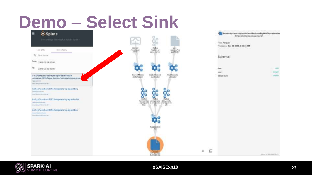# **Demo – Select Sink**





**#SAISExp18 23**

 $1.7400$ 

West

**C**Waitin

Spins of A E-Brand (EV)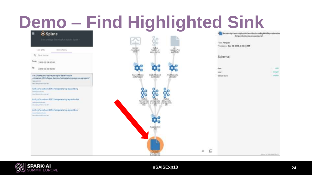#### **Demo – Find Highlighted Sink**

| Spline<br>$\equiv$<br>Strict Dennis Tenning for Apachic Spark =                                                                                  | £                                                                                                                         |               | ft burg datarkreifig Einefsanig leidutbines utfalsteransing With Departmentins<br>Announcement august and an |
|--------------------------------------------------------------------------------------------------------------------------------------------------|---------------------------------------------------------------------------------------------------------------------------|---------------|--------------------------------------------------------------------------------------------------------------|
|                                                                                                                                                  | <b>Listens</b>                                                                                                            | Type: Parquet | Timesterry: Sep 24, 2018, 4:03:56 PM                                                                         |
| Linit Willia<br><b>InternatVany</b>                                                                                                              | Kalka<br>Atalan pr<br>Inpalkariov<br><b>Booker</b><br>Reading<br>nadosPus<br>quebbely                                     |               |                                                                                                              |
| Q. Sink Nation                                                                                                                                   |                                                                                                                           | Schema:       |                                                                                                              |
| From:<br>2018-09-24 00:00                                                                                                                        |                                                                                                                           |               |                                                                                                              |
| Ter.<br>2018-09-25 00:00                                                                                                                         |                                                                                                                           | dirle<br>hist | 1.1410<br>I Wager                                                                                            |
| Sle ///data/ant/spline/sumple/data/results<br>/streamingWithDependancies/temperature.propus.aggregate/<br>Rakismovini<br>ing briggins were part. | FäddetecOa<br>Sockettilisten<br>DataRegger<br><b>TGPGsMeteoD</b><br>atal@ader<br>talluader                                | temperature.  | 1 Weakler                                                                                                    |
| ketha.//tocalhost/0092/temperature.pregue.kbety<br><b>Terms in the officers</b><br>Telescope and a series of the con-                            | ಕೊ<br>ၾ                                                                                                                   |               |                                                                                                              |
| kafka://ilxcalhost:9092/temperature.pregue.ka/tox<br><b>Michael colore</b><br>other distancement had consider to                                 | o<br><b>Kana</b><br><b>Keha</b><br>Kabus.<br>Aeropenke Aeropeake Seroessels<br>Aprague.k. e.prague.ks<br>Aeropeake Seroes |               |                                                                                                              |
| kafss.//localhost:9052/temperature.progue.libus<br><b>SHORTERS</b><br>OUL DESERTED STRUCK BY                                                     |                                                                                                                           |               |                                                                                                              |
|                                                                                                                                                  | Aurogenes<br>Jibb                                                                                                         |               |                                                                                                              |
|                                                                                                                                                  |                                                                                                                           |               |                                                                                                              |
|                                                                                                                                                  | <b>President</b><br><b>Nittenered</b><br>4-Jarsen av net                                                                  | Q<br>4        | Spins of A E-Brent Sect.                                                                                     |

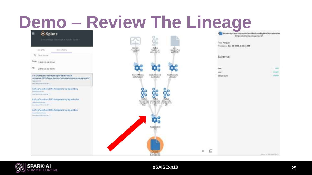#### **Demo – Review The Lineage**

| <b>O</b> Spline<br>$\equiv$<br>Data Dinner Treasing for Aprobabilities =                                                                         |                                                                                                              |                                       | ft burg datarkreifig Freihannig fieldata Yenialts Istraumäng With Dependencies<br>heroensture.progue.eggregate/ |
|--------------------------------------------------------------------------------------------------------------------------------------------------|--------------------------------------------------------------------------------------------------------------|---------------------------------------|-----------------------------------------------------------------------------------------------------------------|
|                                                                                                                                                  |                                                                                                              | Type: Parquest                        |                                                                                                                 |
| Linit Willia<br><b>InternatVany</b>                                                                                                              | Kalka<br>Atalan pr<br><b>Booker</b><br><b>GH</b><br>(stationPra)<br><b>Nooatlast</b><br>(4038)<br>agua Karky | Tirointerro: Sap 24, 2018, 4:03:56 PM |                                                                                                                 |
| Q. Sink Nation                                                                                                                                   |                                                                                                              | Schema:                               |                                                                                                                 |
| From:<br>2018-09-24 00:00                                                                                                                        |                                                                                                              |                                       |                                                                                                                 |
| Ter<br>2018-09-25 00:00                                                                                                                          |                                                                                                              | date<br>hour                          | <b>GELL</b><br>ю<br>1 Hyund                                                                                     |
| Sle:///data/ans/spline/sumple/data/results<br>/streamingWithDependancies/temperature.grapus.aggregate/<br>Rakismover<br>ing bring into complete. | Sockettästen<br>DataRegger<br>Fäddelsiche<br><b>TGPG@MeteoD</b><br>atalizadar.<br>tallusser<br>an an         | temperature.                          | 1 Weakler                                                                                                       |
| kafka://localhost/0992/temperature.pregue.kbety<br><b>Terms of authority</b><br>Telescope and a series of the con-                               | နို့                                                                                                         |                                       |                                                                                                                 |
| kafka://ikrahh.oat/9092/temperature.pregue.ka/toe<br><b>Michael Gallery</b><br>dra relevant terminist                                            | Kana<br>Kielkili<br><b>Kabus</b><br>heroenly Armpeau amperate<br>apogue.8 apogue.ka @poque.kb                |                                       |                                                                                                                 |
| kafks.//localhoat:9052/temperature.progue.libus<br><b>SHORTERS</b><br>(As J (10) (21) (11) (5-8) (21)                                            |                                                                                                              |                                       |                                                                                                                 |
|                                                                                                                                                  | Autreprises                                                                                                  |                                       |                                                                                                                 |
|                                                                                                                                                  |                                                                                                              |                                       |                                                                                                                 |
|                                                                                                                                                  | <b><i>President</i></b><br>chierapered in<br>4-Jarausus auf                                                  | o<br>11.                              | TOHOE ULA JOINATEHOT                                                                                            |

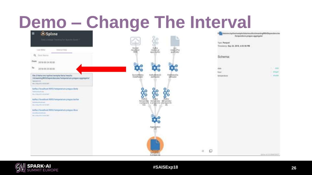#### **Demo – Change The Interval**

| <b>O</b> Spline<br>$\equiv$<br>Date Dresse Treasing for Apache bases =                                                                           | سقسا                                                                                                      | ft burg datarbruit pill mehrarische Matta mensätte berambig WHM Dependencies<br>Acorporature.proque.aggregate/<br>Type: Parquet<br>Tirontinre: Sep 24, 2018, 4:03:56 PM |                              |
|--------------------------------------------------------------------------------------------------------------------------------------------------|-----------------------------------------------------------------------------------------------------------|-------------------------------------------------------------------------------------------------------------------------------------------------------------------------|------------------------------|
| List With<br><b>Itierral Vany</b>                                                                                                                | Kallya<br>Anaton pr<br>Inparliamov<br><b>Booker</b><br>GEV.<br><b>Accurations</b><br>(stationPta)<br>9396 |                                                                                                                                                                         |                              |
| Q. Sink Nation                                                                                                                                   |                                                                                                           | Schema:                                                                                                                                                                 |                              |
| From:<br>2018-09-24 00:00<br>Titl<br>2018-09-25 00:00                                                                                            |                                                                                                           | dirle<br>hour                                                                                                                                                           | $-40.16$<br>ю<br><b>Wage</b> |
| Stell/date/sni/spline/semple/data/results<br>/streamingWithDependancies/temperature.grapus.aggregate/<br>Appropriation<br>ing briggins were per- | FMMeteoDa<br>Sockettilisten<br>DataRegger<br><b>TGPG/MeteoD</b><br>atallizadas.<br>tallusser              | temperature.                                                                                                                                                            | 1 Weidsler                   |
| kafka://localhost/8992/temperature.pregue.kbety<br><b>Terms of authority</b><br>Telesting and the UNITED STATES                                  | နို့ဝင်<br>Kabu                                                                                           |                                                                                                                                                                         |                              |
| kafka://israhhoat:9092/temperature.pregue.ka/toe<br><b>Michael Contract</b><br>other Professional Additional Additional                          | Kielkili<br>Antroonda: Antropratur Semperatur<br>a progue. E a progue.ka #progue.kb<br>taje<br>Wy.        |                                                                                                                                                                         |                              |
| kafss.//localhoat:9052/temperature.progue.libus<br><b>SHORTERS</b><br>(A), 21121-271 (111-5:03)                                                  |                                                                                                           |                                                                                                                                                                         |                              |
|                                                                                                                                                  | Auroprism                                                                                                 |                                                                                                                                                                         |                              |
|                                                                                                                                                  |                                                                                                           |                                                                                                                                                                         |                              |
|                                                                                                                                                  | <b><i><u>Freshing</u></i></b><br><b>NUTTERFIELD</b><br><b>B-Jarnizaki Incl</b>                            | o<br>41.                                                                                                                                                                | TORRESTA AVAILABLE MARINE    |

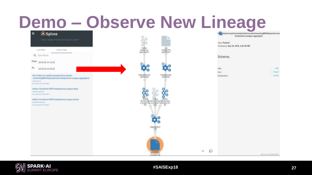#### **Demo – Observe New Lineage**

| <b>Spline</b><br>$\equiv$<br>Date Dressor Treating for Apache hours =                                                                                | i.<br>I                                                                                                      |          | ft burg datarkreifig Freihannig field alta Yenia Hals treumde gWHh Dependencies<br>Acceptation progue aggregate!<br>Type: Parquet |                             |
|------------------------------------------------------------------------------------------------------------------------------------------------------|--------------------------------------------------------------------------------------------------------------|----------|-----------------------------------------------------------------------------------------------------------------------------------|-----------------------------|
| Linit William<br><b>InternatVany</b>                                                                                                                 | Källor<br>Istaläistys<br>uav.<br>Articler(Pra)                                                               |          | Tironterro: Sep 24, 2018, 4:03:56 PM                                                                                              |                             |
| Q. Sink Nation                                                                                                                                       | agua Karlov<br>-bueldiedy?                                                                                   |          | Schema:                                                                                                                           |                             |
| From:<br>2018-09-24 16:00                                                                                                                            |                                                                                                              |          |                                                                                                                                   |                             |
| Ter<br>2018-09-25 00:00                                                                                                                              | $\bullet$                                                                                                    |          | date<br>hair                                                                                                                      | <b>Column</b><br>ю<br>Wegen |
| :51e:///data/am/apline/semple/dete/results<br>/atreamingWithDependencies/hereparature.program.apgregate/<br>Appropriation<br>Mo. Hiscolin restroider | KathafdetesD<br>stalligsby<br>FishlancOs<br>Islogador                                                        |          | temperature.                                                                                                                      | 1 Weekler                   |
| kafka://localhost/0992/temperature.pregue.kbety<br><b>Terms in the office and</b><br>Telesco Telesco Milleto Alexandre Control                       | နို့<br>ο                                                                                                    |          |                                                                                                                                   |                             |
| kafka://israhbeat/9092/temperature.pregue.ka/tox<br><b>Additional contracts</b><br><b><i>Sta. Hills-Inc. List In List</i></b>                        | Kabis<br><b>Kickis</b><br>Kabu<br>Лоторетива: Литоретова / NiFraxembal<br>e prague.ka e prague è a prague.kb |          |                                                                                                                                   |                             |
|                                                                                                                                                      |                                                                                                              |          |                                                                                                                                   |                             |
|                                                                                                                                                      | Autregation                                                                                                  |          |                                                                                                                                   |                             |
|                                                                                                                                                      |                                                                                                              | o        |                                                                                                                                   |                             |
|                                                                                                                                                      | Parase<br><b>SITEPHONE</b><br>6-Jarousus Inc.                                                                | $\Omega$ |                                                                                                                                   | TOWNS IN A FIRMATO MOT      |

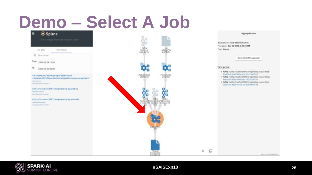# **Demo – Select A Job**





Spins of A E-Brand (EV)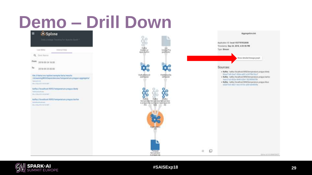# **Demo – Drill Down**





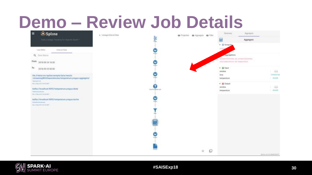#### **Demo – Review Job Details**



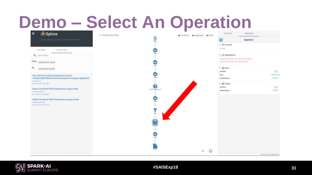#### **Demo – Select An Operation**

| <b>C</b> Spline<br>$\equiv$                                                                                                                                                                                                                                                                                                                                                                                                                                                                                     | E. Limings Wilsmall View |                                                                            |         | 49 Projection 49 Auginizers 49 Filter | <b>Serrors</b>                                                                                                                                                                                                                 | Appropria |                                                             |
|-----------------------------------------------------------------------------------------------------------------------------------------------------------------------------------------------------------------------------------------------------------------------------------------------------------------------------------------------------------------------------------------------------------------------------------------------------------------------------------------------------------------|--------------------------|----------------------------------------------------------------------------|---------|---------------------------------------|--------------------------------------------------------------------------------------------------------------------------------------------------------------------------------------------------------------------------------|-----------|-------------------------------------------------------------|
| Data Dinner Trentity for Aprobability **                                                                                                                                                                                                                                                                                                                                                                                                                                                                        |                          |                                                                            |         |                                       | 翤                                                                                                                                                                                                                              | Aggregate |                                                             |
| List With<br><b>InternatVany</b><br>Q. Sink Nation<br>From: 2018-09-24 16:00<br>Tel<br>2018-09-25 00:00<br>Ste ///dxta/sm/spline/sample/data/results<br>/atresmingWithDependencies/hereparature.program.appropriar/<br><b>Radio Agents or cars</b><br>ing bilacally certified?<br>kafka://tocalhoat/0092/temperature.pregna.kbety.<br><b>Terms in the officers</b><br>The STREET SECTION<br>kafka://ilxcalhost:9092/temperature.pregue.ka/tox<br><b>Michael Gallery</b><br><b><i>GRA PERSONAL MATERIALS</i></b> |                          | ř<br>$\bullet$<br>v<br><b>Sales</b><br>v<br>З<br><b>Dentisy phase cost</b> | SO CITE |                                       | - let Group by<br>Viktor<br>· Ill Approprieter<br><b>AULENT TO ALL LACKS AND ARRESTS</b><br>sharinana i provoti ilito il temperatura<br>- Ill front<br>annatoin<br>time<br>temperature<br>· ai Output<br>window<br>temperature |           | $-34$<br>dressing<br><b>Controller</b><br>$-344$<br>1 moder |
|                                                                                                                                                                                                                                                                                                                                                                                                                                                                                                                 |                          | v<br>Holeni                                                                |         |                                       |                                                                                                                                                                                                                                |           |                                                             |
|                                                                                                                                                                                                                                                                                                                                                                                                                                                                                                                 |                          |                                                                            |         | $\Box$<br>41                          |                                                                                                                                                                                                                                |           |                                                             |
|                                                                                                                                                                                                                                                                                                                                                                                                                                                                                                                 |                          |                                                                            |         |                                       |                                                                                                                                                                                                                                |           | <b>SORRANDA A Arrest State</b>                              |

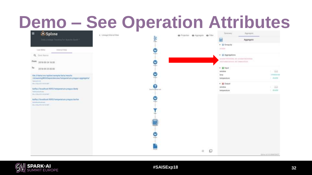#### **Demo – See Operation Attributes**



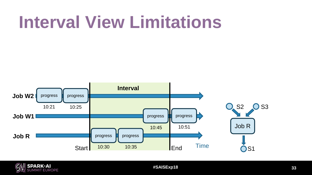### **Interval View Limitations**



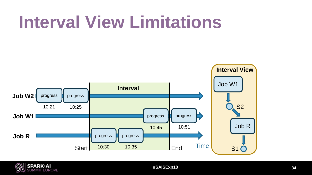### **Interval View Limitations**



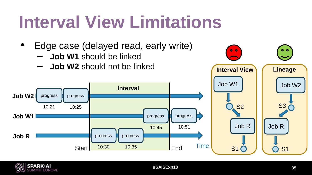# **Interval View Limitations**

progress progress

10:30 10:35

**Interval**

- Edge case (delayed read, early write)
	- **Job W1** should be linked
	- **Job W2** should not be linked





**Job W1**

**Job R**

progress

10:21 10:25

Job W2<sup>1</sup> progress **i** progress

progress progress

10:45 10:51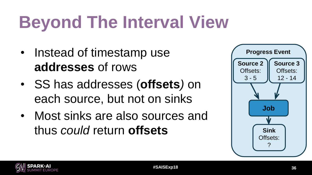# **Beyond The Interval View**

- Instead of timestamp use **addresses** of rows
- SS has addresses (**offsets***)* on each source, but not on sinks
- Most sinks are also sources and thus *could* return **offsets**



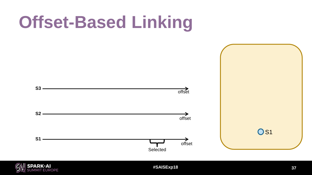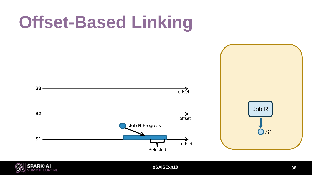

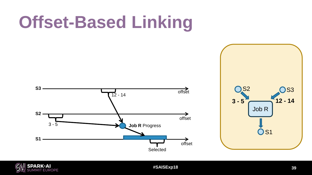



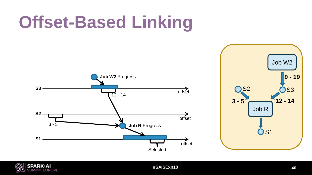



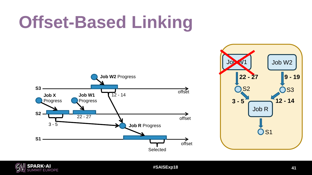



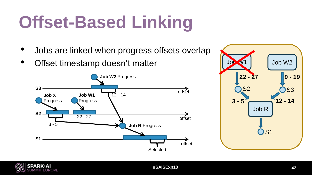- Jobs are linked when progress offsets overlap
- Offset timestamp doesn't matter





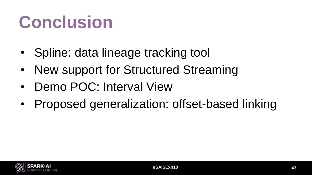# **Conclusion**

- Spline: data lineage tracking tool
- New support for Structured Streaming
- Demo POC: Interval View
- Proposed generalization: offset-based linking

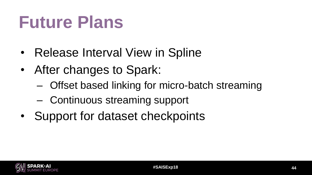# **Future Plans**

- Release Interval View in Spline
- After changes to Spark:
	- Offset based linking for micro-batch streaming
	- Continuous streaming support
- Support for dataset checkpoints